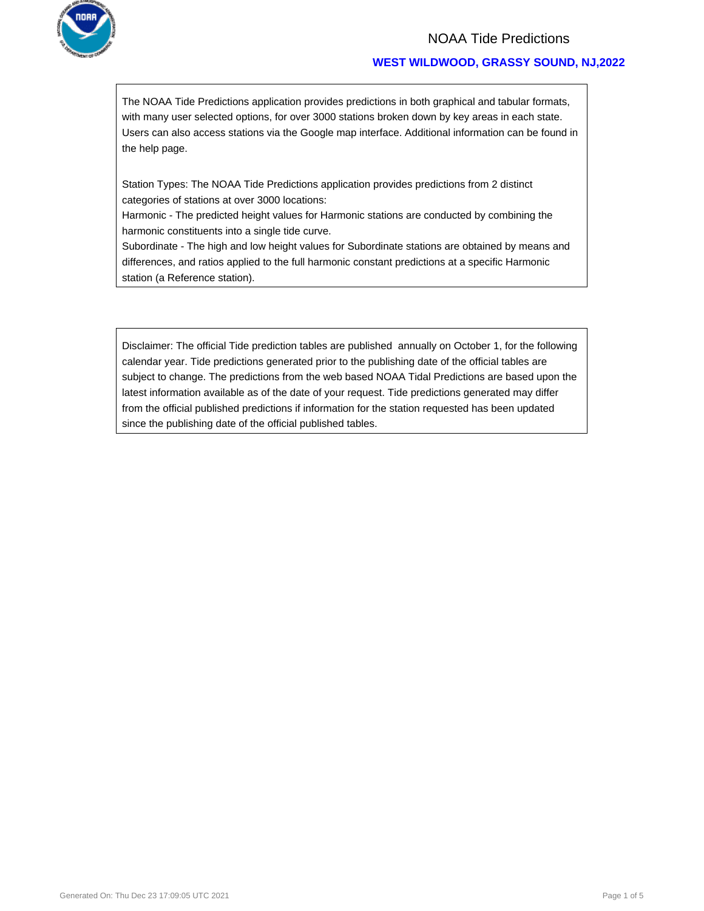

### **WEST WILDWOOD, GRASSY SOUND, NJ,2022**

The NOAA Tide Predictions application provides predictions in both graphical and tabular formats, with many user selected options, for over 3000 stations broken down by key areas in each state. Users can also access stations via the Google map interface. Additional information can be found in the help page.

Station Types: The NOAA Tide Predictions application provides predictions from 2 distinct categories of stations at over 3000 locations:

Harmonic - The predicted height values for Harmonic stations are conducted by combining the harmonic constituents into a single tide curve.

Subordinate - The high and low height values for Subordinate stations are obtained by means and differences, and ratios applied to the full harmonic constant predictions at a specific Harmonic station (a Reference station).

Disclaimer: The official Tide prediction tables are published annually on October 1, for the following calendar year. Tide predictions generated prior to the publishing date of the official tables are subject to change. The predictions from the web based NOAA Tidal Predictions are based upon the latest information available as of the date of your request. Tide predictions generated may differ from the official published predictions if information for the station requested has been updated since the publishing date of the official published tables.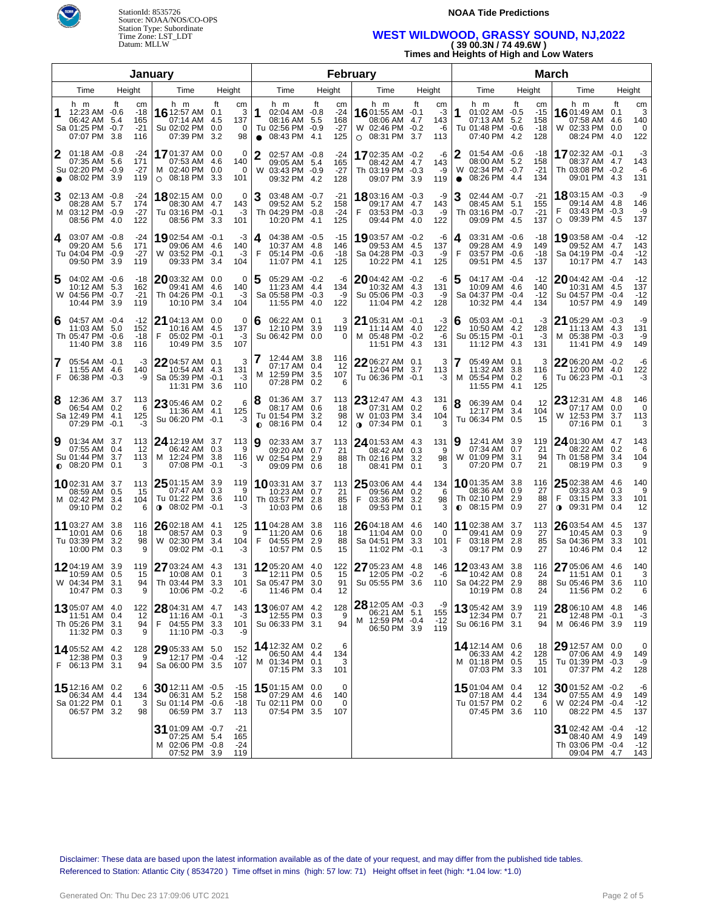



### **WEST WILDWOOD, GRASSY SOUND, NJ,2022 ( 39 00.3N / 74 49.6W )**

**Times and Heights of High and Low Waters**

| January      |                                                                                 |                   |                                    |                                                                          |                          |                           |                                                                                            |        | February                           |                                                                               |                                                             |                     |                                                                           | <b>March</b>                 |                |                                                                                |     |                              |
|--------------|---------------------------------------------------------------------------------|-------------------|------------------------------------|--------------------------------------------------------------------------|--------------------------|---------------------------|--------------------------------------------------------------------------------------------|--------|------------------------------------|-------------------------------------------------------------------------------|-------------------------------------------------------------|---------------------|---------------------------------------------------------------------------|------------------------------|----------------|--------------------------------------------------------------------------------|-----|------------------------------|
|              | Time                                                                            | Height            |                                    | Time                                                                     | Height                   |                           | Time                                                                                       | Height |                                    | Time                                                                          | Height                                                      |                     | Time                                                                      | Height                       |                | Time                                                                           |     | Height                       |
| 1            | h m<br>12:23 AM -0.6<br>06:42 AM 5.4<br>Sa 01:25 PM -0.7<br>07:07 PM 3.8        | ft                | cm<br>$-18$<br>165<br>$-21$<br>116 | h m<br>16 12:57 AM 0.1<br>07:14 AM<br>Su 02:02 PM<br>07:39 PM            | ft<br>-4.5<br>0.0<br>3.2 | cm<br>3<br>137<br>0<br>98 | h m<br>1<br>02:04 AM -0.8<br>08:16 AM 5.5<br>Tu 02:56 PM -0.9<br>08:43 PM 4.1<br>$\bullet$ | ft     | cm<br>$-24$<br>168<br>$-27$<br>125 | h m<br>$16$ 01:55 AM $-0.1$<br>08:06 AM 4.7<br>W 02:46 PM<br>$\circ$ 08:31 PM | ft<br>cm<br>-3<br>143<br>$-0.2$<br>-6<br>3.7<br>113         | 1                   | h m<br>01:02 AM -0.5<br>07:13 AM 5.2<br>Tu 01:48 PM -0.6<br>07:40 PM 4.2  | ft<br>158<br>$-18$<br>128    | cm<br>$-15$    | h m<br>1601:49 AM 0.1<br>07:58 AM 4.6<br>W 02:33 PM 0.0<br>08:24 PM 4.0        | ft  | cm<br>3<br>140<br>0<br>122   |
| $\mathbf{2}$ | $01:18$ AM $-0.8$<br>07:35 AM 5.6<br>Su 02:20 PM -0.9<br>$\bullet$ 08:02 PM 3.9 |                   | -24<br>171<br>$-27$<br>119         | 1701:37 AM 0.0<br>07:53 AM<br>M 02:40 PM 0.0<br>08:18 PM 3.3<br>$\circ$  | - 4.6                    | 0<br>140<br>0<br>101      | $\mathbf{2}$<br>02:57 AM -0.8<br>09:05 AM 5.4<br>W 03:43 PM -0.9<br>09:32 PM 4.2           |        | -24<br>165<br>$-27$<br>128         | 1702:35 AM -0.2<br>08:42 AM 4.7<br>Th 03:19 PM -0.3<br>09:07 PM 3.9           | -6<br>143<br>-9<br>119                                      | 2<br>W<br>$\bullet$ | 01:54 AM -0.6<br>08:00 AM 5.2<br>02:34 PM -0.7<br>08:26 PM 4.4            | -18<br>158<br>$-21$<br>134   |                | 17 02:32 AM -0.1<br>08:37 AM 4.7<br>Th 03:08 PM -0.2<br>09:01 PM 4.3           |     | -3<br>143<br>-6<br>131       |
| 3            | 02:13 AM -0.8<br>08:28 AM 5.7<br>M 03:12 PM -0.9<br>08:56 PM 4.0                |                   | -24<br>174<br>$-27$<br>122         | <b>18</b> 02:15 AM 0.0<br>08:30 AM<br>Tu 03:16 PM -0.1<br>08:56 PM 3.3   | -4.7                     | 0<br>143<br>-3<br>101     | 3<br>03:48 AM -0.7<br>09:52 AM 5.2<br>Th 04:29 PM -0.8<br>10:20 PM 4.1                     |        | -21<br>158<br>$-24$<br>125         | 18 03:16 AM -0.3<br>09:17 AM<br>03:53 PM -0.3<br>F.<br>09:44 PM 4.0           | -9<br>4.7<br>143<br>-9<br>122                               | 3                   | 02:44 AM -0.7<br>08:45 AM 5.1<br>Th 03:16 PM -0.7<br>09:09 PM 4.5         | $-21$<br>155<br>$-21$<br>137 |                | 18803:15 AM -0.3<br>09:14 AM 4.8<br>03:43 PM -0.3<br>09:39 PM 4.5<br>$\circ$   |     | -9<br>146<br>-9<br>137       |
| <b>4</b>     | 03:07 AM -0.8<br>09:20 AM 5.6<br>Tu 04:04 PM -0.9<br>09:50 PM 3.9               |                   | -24<br>171<br>$-27$<br>119         | 1902:54 AM -0.1<br>09:06 AM 4.6<br>W 03:52 PM -0.1<br>09:33 PM 3.4       |                          | -3<br>140<br>-3<br>104    | 04:38 AM -0.5<br>4<br>10:37 AM 4.8<br>F<br>05:14 PM -0.6<br>11:07 PM 4.1                   |        | -15<br>146<br>$-18$<br>125         | 1903:57 AM -0.2<br>09:53 AM<br>Sa 04:28 PM -0.3<br>10:22 PM 4.1               | -6<br>4.5<br>137<br>-9<br>125                               | 4<br>F              | 03:31 AM -0.6<br>09:28 AM 4.9<br>03:57 PM -0.6<br>09:51 PM 4.5            | -18<br>149<br>-18<br>137     |                | 1903:58 AM -0.4<br>09:52 AM 4.7<br>Sa 04:19 PM -0.4<br>10:17 PM 4.7            |     | $-12$<br>143<br>$-12$<br>143 |
| 5            | 04:02 AM -0.6<br>10:12 AM 5.3<br>W 04:56 PM -0.7<br>10:44 PM 3.9                |                   | -18<br>162<br>$-21$<br>119         | 2003:32 AM 0.0<br>09:41 AM<br>Th 04:26 PM -0.1<br>10:10 PM               | -4.6<br>-3.4             | 0<br>140<br>-3<br>104     | 05:29 AM -0.2<br>5<br>11:23 AM 4.4<br>Sa 05:58 PM -0.3<br>11:55 PM 4.0                     |        | -6<br>134<br>-9<br>122             | $20$ 04:42 AM $-0.2$<br>10:32 AM<br>Su 05:06 PM -0.3<br>11:04 PM 4.2          | -6<br>4.3<br>131<br>-9<br>128                               | 5                   | 04:17 AM -0.4<br>10:09 AM 4.6<br>Sa 04:37 PM -0.4<br>10:32 PM 4.4         | $-12$<br>140<br>$-12$<br>134 |                | 2004:42 AM -0.4<br>10:31 AM 4.5<br>Su 04:57 PM -0.4<br>10:57 PM 4.9            |     | $-12$<br>137<br>$-12$<br>149 |
| 6            | 04:57 AM -0.4<br>11:03 AM 5.0<br>Th 05:47 PM -0.6<br>11:40 PM 3.8               |                   | -12<br>152<br>$-18$<br>116         | <b>21</b> 04:13 AM 0.0<br>10:16 AM<br>F<br>05:02 PM -0.1<br>10:49 PM 3.5 | -4.5                     | 0<br>137<br>-3<br>107     | 06:22 AM 0.1<br>6<br>12:10 PM 3.9<br>Su 06:42 PM 0.0                                       |        | 3<br>119<br>0                      | 21 05:31 AM -0.1<br>11:14 AM 4.0<br>M 05:48 PM<br>11:51 PM 4.3                | -3<br>122<br>$-0.2$<br>-6<br>131                            | 6                   | 05:03 AM -0.1<br>10:50 AM 4.2<br>Su 05:15 PM -0.1<br>11:12 PM 4.3         | 128<br>131                   | -3<br>-3       | 21 05:29 AM -0.3<br>11:13 AM 4.3<br>M 05:38 PM -0.3<br>11:41 PM 4.9            |     | -9<br>131<br>-9<br>149       |
| 7            | 05:54 AM -0.1<br>11:55 AM 4.6<br>F 06:38 PM -0.3                                |                   | -3<br>140<br>-9                    | 22 04:57 AM 0.1<br>10:54 AM<br>Sa 05:39 PM -0.1<br>11:31 PM 3.6          | 4.3                      | 3<br>131<br>$-3$<br>110   | 12:44 AM 3.8<br>7<br>07:17 AM 0.4<br>12:59 PM 3.5<br>м<br>07:28 PM 0.2                     |        | 116<br>12<br>107<br>6              | $2206:27$ AM $0.1$<br>12:04 PM<br>Tu 06:36 PM -0.1                            | 3<br>3.7<br>113<br>-3                                       |                     | 05:49 AM 0.1<br>11:32 AM 3.8<br>M 05:54 PM 0.2<br>11:55 PM 4.1            | 116<br>125                   | 3<br>6         | 22 06:20 AM -0.2<br>12:00 PM 4.0<br>Tu 06:23 PM -0.1                           |     | -6<br>122<br>-3              |
| 8            | 12:36 AM 3.7<br>06:54 AM 0.2<br>Sa 12:49 PM 4.1<br>07:29 PM -0.1                |                   | 113<br>6<br>125<br>-3              | 23 05:46 AM 0.2<br>11:36 AM 4.1<br>Su 06:20 PM -0.1                      |                          | 6<br>125<br>-3            | 18<br>01:36 AM 3.7<br>08:17 AM 0.6<br>Tu 01:54 PM 3.2<br>08:16 PM 0.4<br>$\bullet$         |        | 113<br>18<br>98<br>12              | $23$ 12:47 AM 4.3<br>07:31 AM<br>W 01:03 PM<br>$0$ 07:34 PM                   | 131<br>0.2<br>-6<br>3.4<br>104<br>3<br>0.1                  | 8                   | 06:39 AM 0.4<br>12:17 PM 3.4<br>Tu 06:34 PM 0.5                           | 104                          | 12<br>15       | 23 12:31 AM 4.8<br>07:17 AM 0.0<br>W 12:53 PM 3.7<br>07:16 PM 0.1              |     | 146<br>0<br>113<br>3         |
| 9            | 01:34 AM 3.7<br>07:55 AM 0.4<br>Su 01:44 PM 3.7<br>$\bullet$ 08:20 PM           | 0.1               | 113<br>12<br>113<br>3              | 24 12:19 AM 3.7<br>06:42 AM<br>M 12:24 PM 3.8<br>07:08 PM                | 0.3<br>$-0.1$            | 113<br>9<br>116<br>-3     | 9<br>02:33 AM 3.7<br>09:20 AM 0.7<br>W 02:54 PM 2.9<br>09:09 PM 0.6                        |        | 113<br>21<br>88<br>18              | $24$ 01:53 AM<br>08:42 AM<br>Th 02:16 PM<br>08:41 PM                          | 131<br>4.3<br>0.3<br>9<br>3.2<br>98<br>3<br>0.1             | 19<br>W             | 12:41 AM 3.9<br>07:34 AM 0.7<br>01:09 PM 3.1<br>07:20 PM 0.7              | 119                          | 21<br>94<br>21 | 24 01:30 AM 4.7<br>08:22 AM 0.2<br>Th 01:58 PM<br>08:19 PM 0.3                 | 3.4 | 143<br>6<br>104<br>9         |
|              | <b>10</b> 02:31 AM 3.7<br>08:59 AM 0.5<br>M 02:42 PM 3.4<br>09:10 PM 0.2        |                   | 113<br>15<br>104<br>6              | $2501:15$ AM 3.9<br>07:47 AM<br>Tu 01:22 PM 3.6<br>08:02 PM<br>$\bullet$ | 0.3<br>$-0.1$            | 119<br>9<br>110<br>-3     | 1003:31 AM 3.7<br>10:23 AM 0.7<br>Th 03:57 PM 2.8<br>10:03 PM 0.6                          |        | 113<br>21<br>85<br>18              | $25$ 03:06 AM<br>09:56 AM<br>03:36 PM<br>F<br>09:53 PM                        | 134<br>4.4<br>0.2<br>6<br>3.2<br>98<br>0.1<br>3             | $\bullet$           | <b>10</b> 01:35 AM 3.8<br>08:36 AM 0.9<br>Th 02:10 PM 2.9<br>08:15 PM 0.9 | 116                          | 27<br>88<br>27 | $2502:38$ AM 4.6<br>09:33 AM 0.3<br>F<br>03:15 PM<br>09:31 PM 0.4<br>$\bullet$ | 3.3 | 140<br>9<br>101<br>12        |
|              | 11 03:27 AM 3.8<br>10:01 AM<br>Tu 03:39 PM<br>10:00 PM                          | 0.6<br>3.2<br>0.3 | 116<br>18<br>98<br>9               | 26 02:18 AM 4.1<br>08:57 AM 0.3<br>W 02:30 PM<br>09:02 PM -0.1           | 3.4                      | 125<br>9<br>104<br>-3     | 11 04:28 AM 3.8<br>11:20 AM 0.6<br>F<br>04:55 PM 2.9<br>10:57 PM 0.5                       |        | 116<br>18<br>88<br>15              | $26$ 04:18 AM<br>11:04 AM<br>Sa 04:51 PM<br>11:02 PM                          | 140<br>4.6<br>0.0<br>$\Omega$<br>3.3<br>101<br>$-0.1$<br>-3 | F                   | 11 02:38 AM 3.7<br>09:41 AM 0.9<br>03:18 PM 2.8<br>09:17 PM 0.9           | 113                          | 27<br>85<br>27 | 26 03:54 AM 4.5<br>10:45 AM<br>Sa 04:36 PM 3.3<br>10:46 PM 0.4                 | 0.3 | 137<br>9<br>101<br>12        |
|              | 1204:19 AM 3.9<br>10:59 AM<br>W 04:34 PM 3.1<br>10:47 PM 0.3                    | 0.5               | 119<br>15<br>94<br>9               | 27 03:24 AM 4.3<br>10:08 AM 0.1<br>Th 03:44 PM 3.3<br>10:06 PM -0.2      |                          | 131<br>3<br>101<br>-6     | 1205:20 AM 4.0<br>12:11 PM 0.5<br>Sa 05:47 PM 3.0<br>11:46 PM 0.4                          |        | 122<br>15<br>91<br>12              | 27 05:23 AM 4.8<br>12:05 PM -0.2<br>Su 05:55 PM 3.6                           | 146<br>-6<br>110                                            |                     | 1203:43 AM 3.8<br>10:42 AM 0.8<br>Sa 04:22 PM 2.9<br>10:19 PM 0.8         | 116                          | 24<br>88<br>24 | 27 05:06 AM 4.6<br>11:51 AM 0.1<br>Su 05:46 PM 3.6<br>11:56 PM 0.2             |     | 140<br>3<br>110<br>6         |
|              | <b>13</b> 05:07 AM 4.0<br>11:51 AM 0.4<br>Th 05:26 PM 3.1<br>11:32 PM 0.3       |                   | 122<br>12<br>94<br>9               | 28 04:31 AM 4.7<br>11:16 AM -0.1<br>F<br>04:55 PM 3.3<br>11:10 PM -0.3   |                          | 143<br>-3<br>101<br>-9    | 13 06:07 AM 4.2<br>12:55 PM 0.3<br>Su 06:33 PM 3.1                                         |        | 128<br>9<br>94                     | 28 12:05 AM -0.3<br>06:21 AM 5.1<br>M 12:59 PM -0.4<br>06:50 PM 3.9           | -9<br>155<br>$-12$<br>119                                   |                     | 1305:42 AM 3.9<br>12:34 PM 0.7<br>Su 06:16 PM 3.1                         | 119                          | 21<br>94       | 28 06:10 AM 4.8<br>12:48 PM -0.1<br>M 06:46 PM 3.9                             |     | 146<br>-3<br>119             |
|              | 1405:52 AM 4.2<br>12:38 PM 0.3<br>F 06:13 PM 3.1                                |                   | 128<br>9<br>94                     | 29 05:33 AM 5.0<br>12:17 PM -0.4<br>Sa 06:00 PM 3.5                      |                          | 152<br>$-12$<br>107       | 14 12:32 AM 0.2<br>06:50 AM 4.4<br>M 01:34 PM 0.1<br>07:15 PM 3.3                          |        | 6<br>134<br>3<br>101               |                                                                               |                                                             |                     | 14 12:14 AM 0.6<br>06:33 AM 4.2<br>M 01:18 PM 0.5<br>07:03 PM 3.3         | 128<br>101                   | 18<br>15       | 29 12:57 AM 0.0<br>07:06 AM 4.9<br>Tu 01:39 PM -0.3<br>07:37 PM 4.2            |     | 0<br>149<br>-9<br>128        |
|              | <b>15</b> 12:16 AM 0.2<br>06:34 AM 4.4<br>Sa 01:22 PM 0.1<br>06:57 PM 3.2       |                   | 6<br>134<br>3<br>98                | $30$ 12:11 AM -0.5<br>06:31 AM 5.2<br>Su 01:14 PM -0.6<br>06:59 PM 3.7   |                          | -15<br>158<br>-18<br>113  | 1501:15 AM 0.0<br>07:29 AM 4.6<br>Tu 02:11 PM 0.0<br>07:54 PM 3.5                          |        | 0<br>140<br>0<br>107               |                                                                               |                                                             |                     | <b>15</b> 01:04 AM 0.4<br>07:18 AM 4.4<br>Tu 01:57 PM 0.2<br>07:45 PM 3.6 | 134<br>110                   | 12<br>6        | $3001:52$ AM $-0.2$<br>07:55 AM 4.9<br>W 02:24 PM -0.4<br>08:22 PM 4.5         |     | -6<br>149<br>-12<br>137      |
|              |                                                                                 |                   |                                    | 31 01:09 AM -0.7<br>07:25 AM 5.4<br>M 02:06 PM -0.8<br>07:52 PM 3.9      |                          | -21<br>165<br>-24<br>119  |                                                                                            |        |                                    |                                                                               |                                                             |                     |                                                                           |                              |                | 31 02:42 AM -0.4<br>08:40 AM 4.9<br>Th 03:06 PM -0.4<br>09:04 PM 4.7           |     | -12<br>149<br>$-12$<br>143   |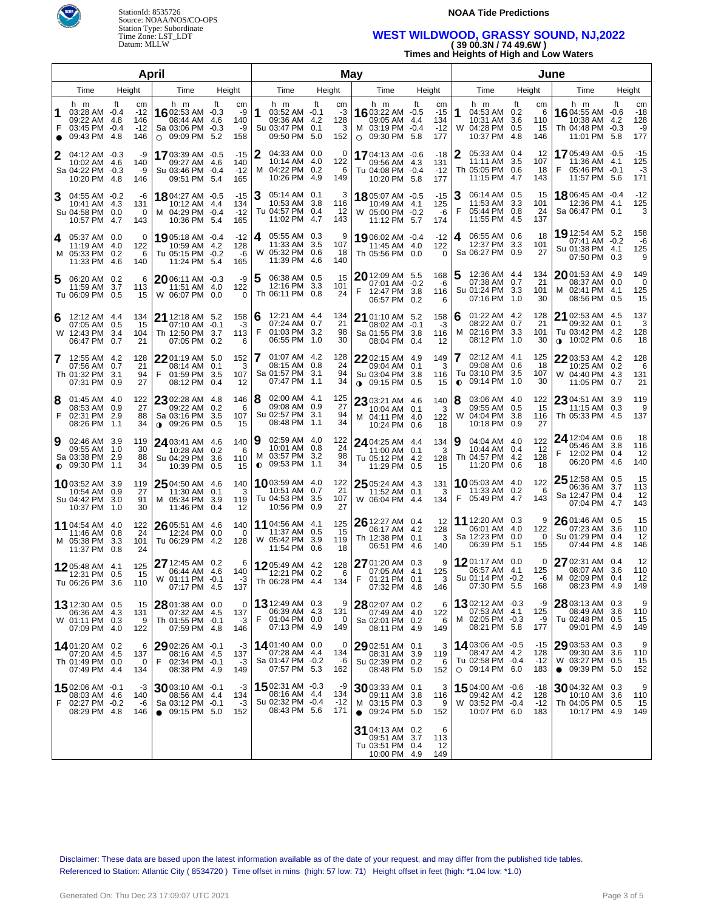



# **WEST WILDWOOD, GRASSY SOUND, NJ,2022 ( 39 00.3N / 74 49.6W )**

**Times and Heights of High and Low Waters**

| April  |                                                                       |                                         |                                                                                    |                                                     |        |                                                                          |        | May                         |                                                                                           |        |                                    |                                                                              | June                                |                                                                                 |            |                                 |  |
|--------|-----------------------------------------------------------------------|-----------------------------------------|------------------------------------------------------------------------------------|-----------------------------------------------------|--------|--------------------------------------------------------------------------|--------|-----------------------------|-------------------------------------------------------------------------------------------|--------|------------------------------------|------------------------------------------------------------------------------|-------------------------------------|---------------------------------------------------------------------------------|------------|---------------------------------|--|
|        | Time                                                                  | Height                                  | Time                                                                               | Height                                              |        | Time                                                                     | Height |                             | Time                                                                                      | Height |                                    | Time                                                                         | Height                              | Time                                                                            | Height     |                                 |  |
| 1      | h m<br>03:28 AM -0.4<br>09:22 AM 4.8<br>03:45 PM -0.4<br>09:43 PM 4.8 | Ħ<br>cm<br>$-12$<br>146<br>$-12$<br>146 | h m<br><b>16</b> 02:53 AM -0.3<br>08:44 AM<br>Sa 03:06 PM<br>$\circ$ 09:09 PM 5.2  | Ħ.<br>cm<br>-9<br>140<br>4.6<br>-9<br>$-0.3$<br>158 | 1      | h m<br>03:52 AM -0.1<br>09:36 AM 4.2<br>Su 03:47 PM 0.1<br>09:50 PM 5.0  | ft     | cm<br>-3<br>128<br>3<br>152 | h m<br><b>16</b> 03:22 AM -0.5<br>09:05 AM 4.4<br>M 03:19 PM -0.4<br>$\circ$ 09:30 PM 5.8 | ft     | cm<br>$-15$<br>134<br>$-12$<br>177 | h m<br>1<br>04:53 AM 0.2<br>10:31 AM 3.6<br>W 04:28 PM 0.5<br>10:37 PM       | Ħ<br>cm<br>110<br>15<br>-4.8<br>146 | h m<br>16 04:55 AM -0.6<br>6<br>10:38 AM<br>Th 04:48 PM -0.3<br>11:01 PM 5.8    | ft<br>4.2  | cm<br>$-18$<br>128<br>-9<br>177 |  |
|        | 04:12 AM -0.3<br>10:02 AM<br>Sa 04:22 PM -0.3<br>10:20 PM 4.8         | -9<br>-4.6<br>140<br>-9<br>146          | 1703:39 AM -0.5<br>09:27 AM<br>Su 03:46 PM -0.4<br>09:51 PM 5.4                    | $-15$<br>140<br>-4.6<br>$-12$<br>165                | 2      | 04:33 AM 0.0<br>10:14 AM 4.0<br>M 04:22 PM 0.2<br>10:26 PM 4.9           |        | 0<br>122<br>6<br>149        | 17 04:13 AM -0.6<br>09:56 AM 4.3<br>Tu 04:08 PM -0.4<br>10:20 PM 5.8                      |        | $-18$<br>131<br>$-12$<br>177       | 05:33 AM 0.4<br>11:11 AM 3.5<br>Th 05:05 PM 0.6<br>11:15 PM 4.7              | 12<br>107<br>18<br>143              | 1705:49 AM -0.5<br>11:36 AM 4.1<br>05:46 PM -0.1<br>11:57 PM 5.6                |            | -15<br>125<br>-3<br>171         |  |
|        | 04:55 AM -0.2<br>10:41 AM 4.3<br>Su 04:58 PM 0.0<br>10:57 PM 4.7      | -6<br>131<br>0<br>143                   | 18 04:27 AM -0.5<br>10:12 AM<br>M 04:29 PM -0.4<br>10:36 PM 5.4                    | $-15$<br>134<br>4.4<br>$-12$<br>165                 | 3      | 05:14 AM 0.1<br>10:53 AM 3.8<br>Tu 04:57 PM 0.4<br>11:02 PM 4.7          |        | 3<br>116<br>-12<br>143      | 18 05:07 AM -0.5<br>10:49 AM 4.1<br>W 05:00 PM -0.2<br>11:12 PM 5.7                       |        | $-15$<br>125<br>-6<br>174          | 06:14 AM 0.5<br>З<br>11:53 AM 3.3<br>F<br>05:44 PM 0.8<br>11:55 PM 4.5       | 15<br>101<br>24<br>137              | <b>18</b> 06:45 AM -0.4<br>12:36 PM 4.1<br>Sa 06:47 PM 0.1                      |            | $-12$<br>125<br>3               |  |
| 4      | 05:37 AM 0.0<br>11:19 AM<br>M 05:33 PM 0.2<br>11:33 PM 4.6            | 0<br>-4.0<br>122<br>6<br>140            | 19 05:18 AM -0.4<br>10:59 AM 4.2<br>Tu 05:15 PM -0.2<br>11:24 PM 5.4               | $-12$<br>128<br>-6<br>165                           | 4      | 05:55 AM 0.3<br>11:33 AM 3.5<br>W 05:32 PM 0.6<br>11:39 PM 4.6           |        | 9<br>107<br>18<br>140       | 1906:02 AM -0.4<br>11:45 AM 4.0<br>Th 05:56 PM 0.0                                        |        | $-12$<br>122<br>$\Omega$           | 06:55 AM 0.6<br>4<br>12:37 PM 3.3<br>Sa 06:27 PM 0.9                         | 18<br>101<br>27                     | 19 12:54 AM 5.2<br>07:41 AM -0.2<br>Su 01:38 PM 4.1<br>07:50 PM 0.3             |            | 158<br>-6<br>125<br>9           |  |
| 5      | 06:20 AM 0.2<br>11:59 AM<br>Tu 06:09 PM 0.5                           | 6<br>3.7<br>113<br>15                   | 2006:11 AM -0.3<br>11:51 AM 4.0<br>W 06:07 PM 0.0                                  | -9<br>122<br>0                                      | 5      | 06:38 AM 0.5<br>12:16 PM 3.3<br>Th 06:11 PM 0.8                          |        | 15<br>101<br>24             | 20 12:09 AM 5.5<br>07:01 AM -0.2<br>F<br>12:47 PM 3.8<br>06:57 PM                         | 0.2    | 168<br>-6<br>116<br>6              | 12:36 AM 4.4<br>07:38 AM 0.7<br>Su 01:24 PM 3.3<br>07:16 PM 1.0              | 134<br>21<br>101<br>30              | $20$ 01:53 AM $\,$ 4.9 $\,$<br>08:37 AM<br>M 02:41 PM 4.1<br>08:56 PM 0.5       | 0.0        | 149<br>0<br>125<br>15           |  |
| 6      | 12:12 AM 4.4<br>07:05 AM 0.5<br>W 12:43 PM 3.4<br>06:47 PM            | 134<br>15<br>104<br>21<br>0.7           | <b>21</b> 12:18 AM 5.2<br>07:10 AM -0.1<br>Th 12:50 PM 3.7<br>07:05 PM             | 158<br>$-3$<br>113<br>0.2<br>6                      | 6<br>F | 12:21 AM 4.4<br>07:24 AM 0.7<br>01:03 PM 3.2<br>06:55 PM 1.0             |        | 134<br>21<br>98<br>30       | <b>21</b> 01:10 AM 5.2<br>08:02 AM -0.1<br>Sa 01:55 PM 3.8<br>08:04 PM 0.4                |        | 158<br>-3<br>116<br>12             | 01:22 AM 4.2<br>6<br>08:22 AM 0.7<br>м<br>02:16 PM 3.3<br>08:12 PM 1.0       | 128<br>21<br>101<br>30              | 21 02:53 AM 4.5<br>09:32 AM<br>Tu 03:42 PM 4.2<br>$\bullet$ 10:02 PM 0.6        | 0.1        | 137<br>3<br>128<br>18           |  |
| 7      | 12:55 AM 4.2<br>07:56 AM 0.7<br>Th 01:32 PM 3.1<br>07:31 PM           | 128<br>21<br>94<br>27<br>0.9            | $2201:19$ AM 5.0<br>08:14 AM<br>F<br>01:59 PM 3.5<br>08:12 PM                      | 152<br>0.1<br>3<br>107<br>12<br>0.4                 |        | 01:07 AM 4.2<br>08:15 AM 0.8<br>Sa 01:57 PM 3.1<br>07:47 PM 1.1          |        | 128<br>24<br>94<br>34       | 22 02:15 AM 4.9<br>09:04 AM 0.1<br>Su 03:04 PM 3.8<br>$0.09:15$ PM                        | 0.5    | 149<br>3<br>116<br>15              | 02:12 AM 4.1<br>09:08 AM 0.6<br>Tu 03:10 PM 3.5<br>09:14 PM 1.0<br>$\bullet$ | 125<br>18<br>107<br>30              | $22^{03:53 \text{ AM} 4.2}$<br>10:25 AM 0.2<br>W 04:40 PM 4.3<br>11:05 PM       | 0.7        | 128<br>6<br>131<br>21           |  |
| 8<br>F | $01:45$ AM $4.0$<br>08:53 AM 0.9<br>02:31 PM 2.9<br>08:26 PM 1.1      | 122<br>27<br>88<br>34                   | $2302:28$ AM 4.8<br>09:22 AM<br>Sa 03:16 PM 3.5<br>$09:26$ PM                      | 146<br>0.2<br>6<br>107<br>15<br>0.5                 | 8      | 02:00 AM 4.1<br>09:08 AM 0.9<br>Su 02:57 PM 3.1<br>08:48 PM 1.1          |        | 125<br>27<br>94<br>34       | 23 03:21 AM 4.6<br>10:04 AM 0.1<br>M 04:11 PM 4.0<br>10:24 PM                             | 0.6    | 140<br>3<br>122<br>18              | 8<br>03:06 AM 4.0<br>09:55 AM 0.5<br>W<br>04:04 PM 3.8<br>10:18 PM 0.9       | 122<br>15<br>116<br>27              | 23 04:51 AM 3.9<br>11:15 AM 0.3<br>Th 05:33 PM 4.5                              |            | 119<br>9<br>137                 |  |
| Ι9     | 02:46 AM 3.9<br>09:55 AM 1.0<br>Sa 03:38 PM 2.9<br>$0$ 09:30 PM       | 119<br>30<br>88<br>1.1<br>34            | 24 03:41 AM 4.6<br>10:28 AM<br>Su 04:29 PM<br>10:39 PM                             | 140<br>6<br>0.2<br>110<br>3.6<br>0.5<br>15          | 9      | 02:59 AM 4.0<br>10:01 AM 0.8<br>M 03:57 PM 3.2<br>$\bullet$ 09:53 PM 1.1 |        | 122<br>24<br>98<br>34       | 24 04:25 AM 4.4<br>11:00 AM 0.1<br>Tu 05:12 PM 4.2<br>11:29 PM                            | 0.5    | 134<br>3<br>128<br>15              | 04:04 AM 4.0<br>19<br>10:44 AM 0.4<br>Th 04:57 PM 4.2<br>11:20 PM 0.6        | 122<br>-12<br>128<br>18             | 24 12:04 AM 0.6<br>05:46 AM<br>F<br>12:02 PM 0.4<br>06:20 PM 4.6                | 3.8        | 18<br>116<br>12<br>140          |  |
|        | 1003:52 AM 3.9<br>10:54 AM<br>Su 04:42 PM 3.0<br>10:37 PM             | 119<br>0.9<br>27<br>91<br>1.0<br>30     | 25 04:50 AM 4.6<br>11:30 AM<br>M 05:34 PM<br>11:46 PM                              | 140<br>3<br>0.1<br>119<br>3.9<br>0.4<br>12          |        | 1003:59 AM 4.0<br>10:51 AM 0.7<br>Tu 04:53 PM 3.5<br>10:56 PM 0.9        |        | 122<br>21<br>107<br>27      | 25 05:24 AM 4.3<br>11:52 AM 0.1<br>W 06:04 PM                                             | -4.4   | 131<br>3<br>134                    | 1005:03 AM 4.0<br>11:33 AM 0.2<br>F 05:49 PM 4.7                             | 122<br>143                          | $25$ 12:58 AM 0.5<br>06:36 AM<br>6<br>Sa 12:47 PM 0.4<br>07:04 PM 4.7           | 3.7        | 15<br>113<br>12<br>143          |  |
|        | 11 04:54 AM 4.0<br>11:46 AM<br>M 05:38 PM<br>11:37 PM 0.8             | 122<br>0.8<br>24<br>3.3<br>101<br>24    | 26 05:51 AM 4.6<br>12:24 PM 0.0<br>Tu 06:29 PM                                     | 140<br>0<br>4.2<br>128                              |        | 11 04:56 AM 4.1<br>11:37 AM 0.5<br>W 05:42 PM 3.9<br>11:54 PM 0.6        |        | 125<br>15<br>119<br>18      | 26 12:27 AM 0.4<br>06:17 AM 4.2<br>Th 12:38 PM 0.1<br>06:51 PM                            | -4.6   | 12<br>128<br>3<br>140              | 11 12:20 AM 0.3<br>06:01 AM 4.0<br>Sa 12:23 PM 0.0<br>06:39 PM 5.1           | 122<br>155                          | 26 01:46 AM 0.5<br>9<br>07:23 AM<br>$\Omega$<br>Su 01:29 PM 0.4<br>07:44 PM 4.8 | 3.6        | 15<br>110<br>12<br>146          |  |
|        | 1205:48 AM 4.1<br>12:31 PM 0.5<br>Tu 06:26 PM                         | 125<br>15<br>3.6<br>110                 | 27 12:45 AM 0.2<br>06:44 AM 4.6<br>W 01:11 PM -0.1<br>07:17 PM 4.5                 | 6<br>140<br>-3<br>137                               |        | 1205:49 AM 4.2<br>12:21 PM 0.2<br>Th 06:28 PM 4.4                        |        | 128<br>6<br>134             | 27 01:20 AM 0.3<br>07:05 AM 4.1<br>F<br>01:21 PM 0.1<br>07:32 PM 4.8                      |        | 9<br>125<br>3<br>146               | 1201:17 AM 0.0<br>06:57 AM 4.1<br>Su 01:14 PM -0.2<br>07:30 PM 5.5           | 125<br>-6<br>168                    | 27 02:31 AM 0.4<br>0<br>08:07 AM<br>M 02:09 PM 0.4<br>08:23 PM                  | 3.6<br>4.9 | 12<br>110<br>12<br>149          |  |
|        | 13 12:30 AM 0.5<br>06:36 AM 4.3<br>W 01:11 PM 0.3<br>07:09 PM 4.0     | 15<br>131<br>9<br>122                   | 28 01:38 AM 0.0<br>07:32 AM 4.5<br>Th 01:55 PM -0.1<br>07:59 PM 4.8                | 0<br>137<br>-3<br>146                               | F      | <b>13</b> 12:49 AM 0.3<br>06:39 AM 4.3<br>01:04 PM 0.0<br>07:13 PM 4.9   |        | 9<br>131<br>0<br>149        | 28 02:07 AM 0.2<br>07:49 AM 4.0<br>Sa 02:01 PM 0.2<br>08:11 PM 4.9                        |        | 6<br>122<br>6<br>149               | <b>13</b> 02:12 AM $-0.3$<br>07:53 AM 4.1<br>M 02:05 PM -0.3<br>08:21 PM 5.8 | -9<br>125<br>-9<br>177              | $28$ 03:13 AM<br>08:49 AM<br>Tu 02:48 PM 0.5<br>09:01 PM 4.9                    | 0.3<br>3.6 | 9<br>110<br>15<br>149           |  |
|        | 1401:20 AM 0.2<br>07:20 AM 4.5<br>Th 01:49 PM 0.0<br>07:49 PM 4.4     | 6<br>137<br>0<br>134                    | 29 02:26 AM -0.1<br>08:16 AM 4.5<br>F<br>02:34 PM -0.1<br>08:38 PM 4.9             | -3<br>137<br>-3<br>149                              |        | 1401:40 AM 0.0<br>07:28 AM 4.4<br>Sa 01:47 PM -0.2<br>07:57 PM 5.3       |        | 0<br>134<br>-6<br>162       | 29 02:51 AM 0.1<br>08:31 AM<br>Su 02:39 PM 0.2<br>08:48 PM 5.0                            | 3.9    | 3<br>119<br>6<br>152               | 14 03:06 AM -0.5<br>08:47 AM 4.2<br>Tu 02:58 PM -0.4<br>$O$ 09:14 PM 6.0     | -15<br>128<br>$-12$<br>183          | $29$ 03:53 AM<br>09:30 AM<br>W 03:27 PM 0.5<br>$\bullet$ 09:39 PM 5.0           | 0.3<br>3.6 | 9<br>110<br>15<br>152           |  |
| F.     | 1502:06 AM -0.1<br>08:03 AM 4.6<br>02:27 PM -0.2<br>08:29 PM 4.8      | -3<br>140<br>-6<br>146                  | $30$ 03:10 AM $-0.1$<br>08:56 AM 4.4<br>Sa 03:12 PM -0.1<br>$\bullet$ 09:15 PM 5.0 | -3<br>134<br>$-3$<br>152                            |        | 1502:31 AM -0.3<br>08:16 AM 4.4<br>Su 02:32 PM -0.4<br>08:43 PM 5.6      |        | -9<br>134<br>$-12$<br>171   | 3003:33 AM 0.1<br>09:11 AM<br>M 03:15 PM 0.3<br>$\bullet$ 09:24 PM 5.0                    | 3.8    | 3<br>116<br>9<br>152               | 1504:00 AM -0.6<br>09:42 AM 4.2<br>W 03:52 PM -0.4<br>10:07 PM 6.0           | -18<br>128<br>$-12$<br>183          | $30$ 04:32 AM 0.3<br>10:10 AM<br>Th 04:05 PM 0.5<br>10:17 PM 4.9                | 3.6        | 9<br>110<br>15<br>149           |  |
|        |                                                                       |                                         |                                                                                    |                                                     |        |                                                                          |        |                             | 31 04:13 AM 0.2<br>09:51 AM<br>Tu 03:51 PM 0.4<br>10:00 PM 4.9                            | 3.7    | 6<br>113<br>12<br>149              |                                                                              |                                     |                                                                                 |            |                                 |  |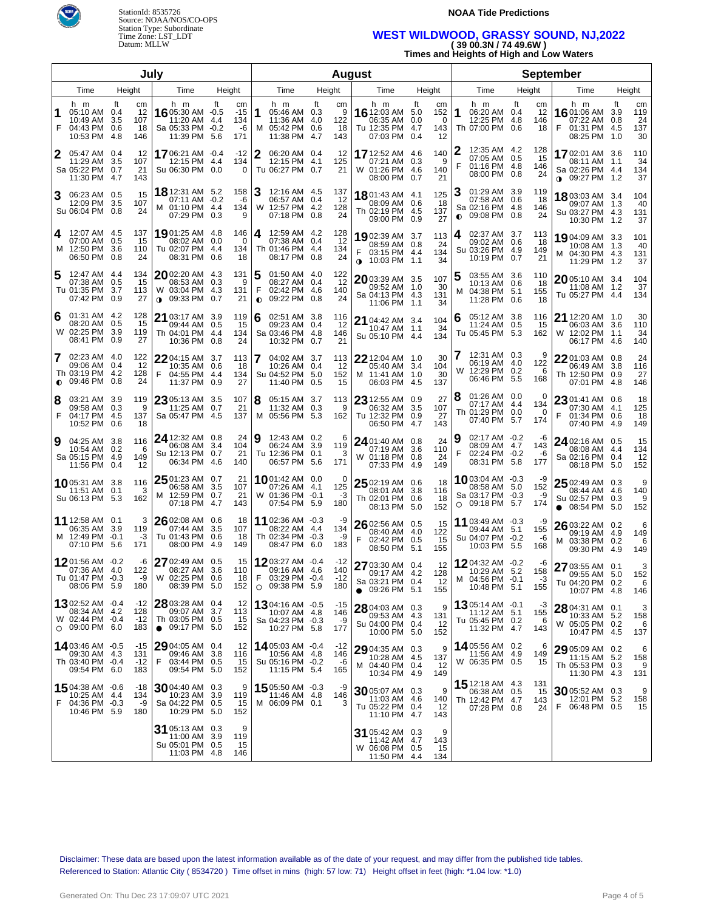



### **WEST WILDWOOD, GRASSY SOUND, NJ,2022 ( 39 00.3N / 74 49.6W )**

**Times and Heights of High and Low Waters**

| July   |                                                                        |                                                         |                                                                             |                                                      |                |                                                                        |           |                             | <b>August</b>                                                                |                         |                             |                                                                          | <b>September</b>                         |                                                                                  |                  |                              |
|--------|------------------------------------------------------------------------|---------------------------------------------------------|-----------------------------------------------------------------------------|------------------------------------------------------|----------------|------------------------------------------------------------------------|-----------|-----------------------------|------------------------------------------------------------------------------|-------------------------|-----------------------------|--------------------------------------------------------------------------|------------------------------------------|----------------------------------------------------------------------------------|------------------|------------------------------|
|        | Time                                                                   | Height                                                  | Time                                                                        | Height                                               |                | Time                                                                   | Height    |                             | Time                                                                         | Height                  |                             | Time                                                                     | Height                                   | Time                                                                             |                  | Height                       |
| 1<br>F | h m<br>05:10 AM 0.4<br>10:49 AM<br>04:43 PM<br>10:53 PM                | Ħ<br>cm<br>12<br>3.5<br>107<br>0.6<br>18<br>-4.8<br>146 | h m<br>16 05:30 AM -0.5<br>11:20 AM<br>Sa 05:33 PM<br>11:39 PM 5.6          | ft<br>cm<br>-15<br>134<br>4.4<br>$-0.2$<br>-6<br>171 | ∣1             | h m<br>05:46 AM 0.3<br>11:36 AM 4.0<br>M 05:42 PM 0.6<br>11:38 PM      | ft<br>4.7 | cm<br>9<br>122<br>18<br>143 | h m<br>16 12:03 AM<br>06:35 AM<br>Tu 12:35 PM<br>07:03 PM 0.4                | ft<br>5.0<br>0.0<br>4.7 | сm<br>152<br>0<br>143<br>12 | h m<br>06:20 AM 0.4<br>1<br>12:25 PM<br>Th 07:00 PM                      | Ħ<br>cm<br>12<br>4.8<br>146<br>0.6<br>18 | h m<br>16 01:06 AM<br>07:22 AM<br>F<br>01:31 PM 4.5<br>08:25 PM 1.0              | ft<br>3.9<br>0.8 | cm<br>119<br>24<br>137<br>30 |
|        | 05:47 AM 0.4<br>11:29 AM<br>Sa 05:22 PM<br>11:30 PM 4.7                | 12<br>3.5<br>107<br>0.7<br>21<br>143                    | 1706:21 AM -0.4<br>12:15 PM<br>Su 06:30 PM                                  | $-12$<br>134<br>4.4<br>0.0<br>0                      | 2              | 06:20 AM 0.4<br>12:15 PM 4.1<br>Tu 06:27 PM 0.7                        |           | 12<br>125<br>21             | <b>17</b> 12:52 AM<br>07:21 AM<br>W 01:26 PM 4.6<br>08:00 PM 0.7             | 4.6<br>0.3              | 140<br>9<br>140<br>21       | 12:35 AM 4.2<br>07:05 AM 0.5<br>F<br>01:16 PM 4.8<br>08:00 PM 0.8        | 128<br>-15<br>146<br>24                  | 1702:01 AM 3.6<br>08:11 AM 1.1<br>Sa 02:26 PM 4.4<br>$\bullet$ 09:27 PM 1.2      |                  | 110<br>34<br>134<br>37       |
| З      | 06:23 AM 0.5<br>12:09 PM<br>Su 06:04 PM                                | 15<br>3.5<br>107<br>24<br>0.8                           | <b>18</b> 12:31 AM 5.2<br>07:11 AM -0.2<br>M 01:10 PM 4.4<br>07:29 PM 0.3   | 158<br>-6<br>134<br>9                                |                | 12:16 AM 4.5<br>06:57 AM 0.4<br>W 12:57 PM 4.2<br>07:18 PM 0.8         |           | 137<br>12<br>128<br>24      | 18801:43 AM 4.1<br>08:09 AM 0.6<br>Th 02:19 PM 4.5<br>09:00 PM 0.9           |                         | 125<br>18<br>137<br>27      | 01:29 AM 3.9<br>07:58 AM<br>Sa 02:16 PM 4.8<br>09:08 PM 0.8<br>$\bullet$ | 119<br>0.6<br>-18<br>146<br>24           | 18 03:03 AM 3.4<br>09:07 AM 1.3<br>Su 03:27 PM 4.3<br>10:30 PM 1.2               |                  | 104<br>40<br>131<br>37       |
| 4      | 12:07 AM 4.5<br>07:00 AM<br>M 12:50 PM 3.6<br>06:50 PM 0.8             | 137<br>0.5<br>15<br>110<br>24                           | 1901:25 AM 4.8<br>08:02 AM<br>Tu 02:07 PM<br>08:31 PM 0.6                   | 146<br>0.0<br>- 0<br>-4.4<br>134<br>18               | 4              | 12:59 AM 4.2<br>07:38 AM 0.4<br>Th 01:46 PM 4.4<br>08:17 PM 0.8        |           | 128<br>-12<br>134<br>24     | <b>19</b> 02:39 AM<br>08:59 AM 0.8<br>03:15 PM 4.4<br>$\bullet$ 10:03 PM 1.1 | 3.7                     | 113<br>24<br>134<br>34      | 02:37 AM 3.7<br>4<br>09:02 AM<br>Su 03:26 PM 4.9<br>10:19 PM             | 113<br>0.6<br>-18<br>149<br>21<br>0.7    | 1904:09 AM 3.3<br>10:08 AM 1.3<br>M 04:30 PM 4.3<br>11:29 PM 1.2                 |                  | 101<br>40<br>131<br>37       |
|        | 12:47 AM 4.4<br>07:38 AM<br>Tu 01:35 PM 3.7<br>07:42 PM 0.9            | 134<br>15<br>0.5<br>113<br>27                           | $20$ 02:20 AM 4.3<br>08:53 AM<br>W 03:04 PM<br>09:33 PM 0.7<br>$\bullet$    | 131<br>0.3<br>- 9<br>-4.3<br>131<br>21               | F<br>$\bullet$ | 01:50 AM 4.0<br>08:27 AM 0.4<br>02:42 PM 4.6<br>09:22 PM 0.8           |           | 122<br>12<br>140<br>24      | 2003:39 AM 3.5<br>09:52 AM 1.0<br>Sa 04:13 PM 4.3<br>11:06 PM 1.1            |                         | 107<br>30<br>131<br>34      | 03:55 AM 3.6<br>b<br>10:13 AM<br>04:38 PM 5.1<br>м<br>11:28 PM           | 110<br>0.6<br>-18<br>155<br>18<br>0.6    | 2005:10 AM 3.4<br>11:08 AM 1.2<br>Tu 05:27 PM 4.4                                |                  | 104<br>37<br>134             |
| 6      | 01:31 AM 4.2<br>08:20 AM 0.5<br>W 02:25 PM 3.9<br>08:41 PM 0.9         | 128<br>15<br>119<br>27                                  | <b>21</b> 03:17 AM<br>09:44 AM<br>Th 04:01 PM 4.4<br>10:36 PM               | -3.9<br>119<br>0.5<br>15<br>134<br>24<br>0.8         | 6              | 02:51 AM 3.8<br>09:23 AM 0.4<br>Sa 03:46 PM 4.8<br>10:32 PM            | 0.7       | 116<br>-12<br>146<br>21     | 21 04:42 AM 3.4<br>10:47 AM 1.1<br>Su 05:10 PM 4.4                           |                         | 104<br>34<br>134            | 05:12 AM 3.8<br>6<br>11:24 AM 0.5<br>Tu 05:45 PM 5.3                     | 116<br>15<br>162                         | 21 12:20 AM 1.0<br>06:03 AM 3.6<br>W 12:02 PM 1.1<br>06:17 PM 4.6                |                  | 30<br>110<br>34<br>140       |
| 7      | 02:23 AM 4.0<br>09:06 AM<br>Th 03:19 PM 4.2<br>$\bullet$ 09:46 PM 0.8  | 122<br>0.4<br>12<br>128<br>24                           | $2204:15$ AM 3.7<br>10:35 AM<br>F<br>04:55 PM 4.4<br>11:37 PM               | 113<br>0.6<br>18<br>134<br>27<br>0.9                 |                | 04:02 AM 3.7<br>10:26 AM 0.4<br>Su 04:52 PM 5.0<br>11:40 PM            | 0.5       | 113<br>12<br>152<br>15      | $22$ 12:04 AM 1.0<br>05:40 AM 3.4<br>M 11:41 AM 1.0<br>06:03 PM              | 4.5                     | 30<br>104<br>30<br>137      | 12:31 AM 0.3<br>06:19 AM 4.0<br>W 12:29 PM 0.2<br>06:46 PM 5.5           | 9<br>122<br>6<br>168                     | 22 01:03 AM 0.8<br>06:49 AM 3.8<br>Th 12:50 PM 0.9<br>07:01 PM 4.8               |                  | 24<br>116<br>27<br>146       |
| 8<br>F | 03:21 AM 3.9<br>09:58 AM<br>04:17 PM 4.5<br>10:52 PM                   | 119<br>0.3<br>9<br>137<br>0.6<br>18                     | $23$ 05:13 AM 3.5<br>11:25 AM<br>Sa 05:47 PM 4.5                            | 107<br>21<br>0.7<br>137                              | 8              | 05:15 AM 3.7<br>11:32 AM 0.3<br>M 05:56 PM 5.3                         |           | 113<br>9<br>162             | $23$ 12:55 AM 0.9<br>06:32 AM<br>Tu 12:32 PM 0.9<br>06:50 PM                 | 3.5<br>4.7              | 27<br>107<br>27<br>143      | 01:26 AM 0.0<br>8<br>07:17 AM 4.4<br>Th 01:29 PM 0.0<br>07:40 PM 5.7     | 0<br>134<br>$\Omega$<br>174              | $2301:41$ AM 0.6<br>07:30 AM 4.1<br>01:34 PM 0.6<br>07:40 PM 4.9                 |                  | 18<br>125<br>18<br>149       |
| 9      | 04:25 AM 3.8<br>10:54 AM 0.2<br>Sa 05:15 PM 4.9<br>11:56 PM            | 116<br>6<br>149<br>12<br>0.4                            | 24 12:32 AM 0.8<br>06:08 AM<br>Su 12:13 PM 0.7<br>06:34 PM 4.6              | 24<br>104<br>3.4<br>21<br>140                        | Ι9             | 12:43 AM 0.2<br>06:24 AM 3.9<br>Tu 12:36 PM 0.1<br>06:57 PM 5.6        |           | 6<br>119<br>3<br>171        | 24 01:40 AM 0.8<br>07:19 AM 3.6<br>W 01:18 PM 0.8<br>07:33 PM                | 4.9                     | 24<br>110<br>24<br>149      | 02:17 AM -0.2<br>9<br>08:09 AM 4.7<br>F<br>02:24 PM -0.2<br>08:31 PM 5.8 | -6<br>143<br>-6<br>177                   | 24 02:16 AM 0.5<br>08:08 AM 4.4<br>Sa 02:16 PM 0.4<br>08:18 PM 5.0               |                  | 15<br>134<br>12<br>152       |
|        | 1005:31 AM 3.8<br>11:51 AM<br>Su 06:13 PM 5.3                          | 116<br>0.1<br>3<br>162                                  | $2501:23$ AM 0.7<br>06:58 AM<br>M 12:59 PM 0.7<br>07:18 PM 4.7              | 21<br>3.5<br>107<br>21<br>143                        |                | 10 01:42 AM 0.0<br>07:26 AM 4.1<br>W 01:36 PM -0.1<br>07:54 PM 5.9     |           | 0<br>125<br>-3<br>180       | $2502:19$ AM 0.6<br>08:01 AM 3.8<br>Th 02:01 PM 0.6<br>08:13 PM              | 5.0                     | 18<br>116<br>18<br>152      | 1003:04 AM -0.3<br>08:58 AM 5.0<br>Sa 03:17 PM -0.3<br>$O$ 09:18 PM 5.7  | -9<br>152<br>-9<br>174                   | $2502:49$ AM 0.3<br>08:44 AM 4.6<br>Su 02:57 PM 0.3<br>08:54 PM 5.0<br>$\bullet$ |                  | 9<br>140<br>9<br>152         |
|        | 11 12:58 AM 0.1<br>06:35 AM<br>M 12:49 PM -0.1<br>07:10 PM 5.6         | 3<br>3.9<br>119<br>-3<br>171                            | 26 02:08 AM<br>07:44 AM<br>Tu 01:43 PM 0.6<br>08:00 PM 4.9                  | 0.6<br>18<br>3.5<br>107<br>18<br>149                 |                | 11 02:36 AM -0.3<br>08:22 AM 4.4<br>Th 02:34 PM -0.3<br>08:47 PM 6.0   |           | -9<br>134<br>-9<br>183      | 26 02:56 AM 0.5<br>08:40 AM 4.0<br>F<br>02:42 PM 0.5<br>08:50 PM             | 5.1                     | 15<br>122<br>15<br>155      | 11 03:49 AM -0.3<br>09:44 AM 5.1<br>Su 04:07 PM -0.2<br>10:03 PM 5.5     | -9<br>155<br>-6<br>168                   | 26 03:22 AM 0.2<br>09:19 AM 4.9<br>03:38 PM 0.2<br>M<br>09:30 PM 4.9             |                  | 6<br>149<br>6<br>149         |
|        | 1201:56 AM -0.2<br>07:36 AM<br>Tu 01:47 PM -0.3<br>08:06 PM 5.9        | -6<br>-4.0<br>122<br>-9<br>180                          | 27 02:49 AM 0.5<br>08:27 AM<br>W 02:25 PM 0.6<br>08:39 PM 5.0               | 15<br>3.6<br>110<br>18<br>152                        |                | 1203:27 AM -0.4<br>09:16 AM 4.6<br>F 03:29 PM -0.4<br>$O$ 09:38 PM 5.9 |           | -12<br>140<br>-12<br>180    | 27 03:30 AM 0.4<br>09:17 AM 4.2<br>Sa 03:21 PM 0.4<br>$\bullet$ 09:26 PM 5.1 |                         | 12<br>128<br>12<br>155      | 1204:32 AM -0.2<br>10:29 AM 5.2<br>M 04:56 PM -0.1<br>10:48 PM 5.1       | -6<br>158<br>-3<br>155                   | 27 03:55 AM 0.1<br>09:55 AM 5.0<br>Tu 04:20 PM 0.2<br>10:07 PM 4.8               |                  | 3<br>152<br>6<br>146         |
|        | 1302:52 AM -0.4<br>08:34 AM 4.2<br>W 02:44 PM -0.4<br>$O$ 09:00 PM 6.0 | -12<br>128<br>$-12$<br>183                              | 28 03:28 AM 0.4<br>09:07 AM<br>Th 03:05 PM 0.5<br>09:17 PM 5.0<br>$\bullet$ | 12<br>3.7<br>113<br>15<br>152                        |                | 1304:16 AM -0.5<br>10:07 AM 4.8<br>Sa 04:23 PM -0.3<br>10:27 PM 5.8    |           | -15<br>146<br>-9<br>177     | 28 04:03 AM 0.3<br>09:53 AM 4.3<br>Su 04:00 PM 0.4<br>10:00 PM 5.0           |                         | 9<br>131<br>12<br>152       | <b>13</b> 05:14 AM $-0.1$<br>11:12 AM<br>Tu 05:45 PM 0.2<br>11:32 PM 4.7 | -3<br>5.1<br>155<br>6<br>143             | 28 04:31 AM 0.1<br>10:33 AM 5.2<br>W 05:05 PM 0.2<br>10:47 PM 4.5                |                  | 3<br>158<br>6<br>137         |
|        | 14 03:46 AM -0.5<br>09:30 AM 4.3<br>Th 03:40 PM -0.4<br>09:54 PM 6.0   | -15<br>131<br>$-12$<br>183                              | $29$ 04:05 AM 0.4<br>09:46 AM<br>F<br>03:44 PM 0.5<br>09:54 PM 5.0          | 12<br>-3.8<br>116<br>15<br>152                       |                | 14 05:03 AM -0.4<br>10:56 AM 4.8<br>Su 05:16 PM -0.2<br>11:15 PM 5.4   |           | -12<br>146<br>-6<br>165     | 29 04:35 AM 0.3<br>10:28 AM 4.5<br>M 04:40 PM 0.4<br>10:34 PM 4.9            |                         | 9<br>137<br>12<br>149       | 14 05:56 AM 0.2<br>11:56 AM 4.9<br>W 06:35 PM 0.5                        | 6<br>149<br>15                           | 29 05:09 AM 0.2<br>11:15 AM 5.2<br>Th 05:53 PM 0.3<br>11:30 PM 4.3               |                  | 6<br>158<br>9<br>131         |
|        | 1504:38 AM -0.6<br>10:25 AM 4.4<br>F 04:36 PM -0.3<br>10:46 PM 5.9     | -18<br>134<br>-9<br>180                                 | 30 04:40 AM 0.3<br>10:23 AM 3.9<br>Sa 04:22 PM 0.5<br>10:29 PM 5.0          | 9<br>119<br>15<br>152                                |                | 1505:50 AM -0.3<br>11:46 AM 4.8<br>M 06:09 PM 0.1                      |           | -9<br>146<br>3              | 30 05:07 AM 0.3<br>11:03 AM 4.6<br>Tu 05:22 PM 0.4<br>11:10 PM 4.7           |                         | 9<br>140<br>12<br>143       | 15 12:18 AM 4.3<br>06:38 AM<br>Th 12:42 PM 4.7<br>07:28 PM 0.8           | 131<br>0.5<br>15<br>143<br>24            | 30 05:52 AM 0.3<br>12:01 PM 5.2<br>F 06:48 PM 0.5                                |                  | 9<br>158<br>15               |
|        |                                                                        |                                                         | 31 05:13 AM 0.3<br>11:00 AM 3.9<br>Su 05:01 PM 0.5<br>11:03 PM 4.8          | 9<br>119<br>15<br>146                                |                |                                                                        |           |                             | 31 05:42 AM 0.3<br>11:42 AM 4.7<br>W 06:08 PM 0.5<br>11:50 PM 4.4            |                         | 9<br>143<br>15<br>134       |                                                                          |                                          |                                                                                  |                  |                              |